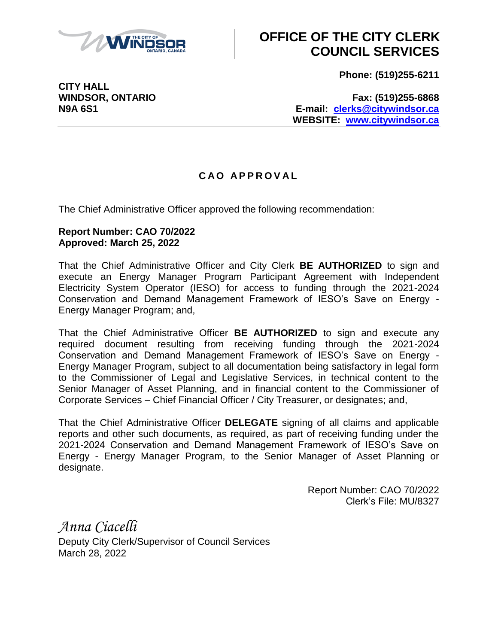

## **OFFICE OF THE CITY CLERK COUNCIL SERVICES**

**Phone: (519)255-6211**

**CITY HALL**

**WINDSOR, ONTARIO Fax: (519)255-6868 N9A 6S1 E-mail: [clerks@citywindsor.ca](mailto:clerks@citywindsor.ca) WEBSITE: [www.citywindsor.ca](http://www.citywindsor.ca/)**

## **C A O A P P R O V A L**

The Chief Administrative Officer approved the following recommendation:

## **Report Number: CAO 70/2022 Approved: March 25, 2022**

That the Chief Administrative Officer and City Clerk **BE AUTHORIZED** to sign and execute an Energy Manager Program Participant Agreement with Independent Electricity System Operator (IESO) for access to funding through the 2021-2024 Conservation and Demand Management Framework of IESO's Save on Energy - Energy Manager Program; and,

That the Chief Administrative Officer **BE AUTHORIZED** to sign and execute any required document resulting from receiving funding through the 2021-2024 Conservation and Demand Management Framework of IESO's Save on Energy - Energy Manager Program, subject to all documentation being satisfactory in legal form to the Commissioner of Legal and Legislative Services, in technical content to the Senior Manager of Asset Planning, and in financial content to the Commissioner of Corporate Services – Chief Financial Officer / City Treasurer, or designates; and,

That the Chief Administrative Officer **DELEGATE** signing of all claims and applicable reports and other such documents, as required, as part of receiving funding under the 2021-2024 Conservation and Demand Management Framework of IESO's Save on Energy - Energy Manager Program, to the Senior Manager of Asset Planning or designate.

> Report Number: CAO 70/2022 Clerk's File: MU/8327

*Anna Ciacelli* Deputy City Clerk/Supervisor of Council Services March 28, 2022